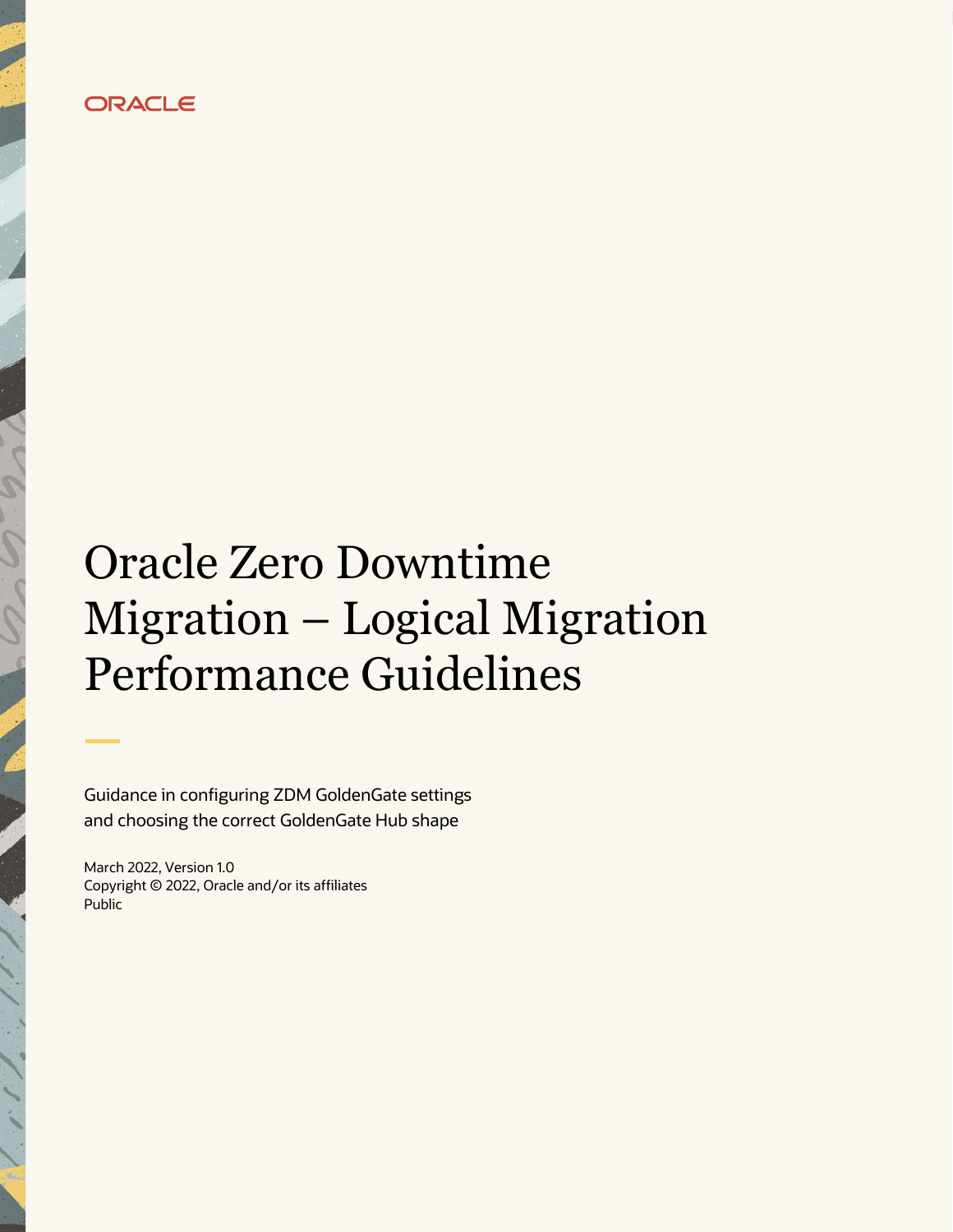

# Oracle Zero Downtime Migration – Logical Migration Performance Guidelines

Guidance in configuring ZDM GoldenGate settings and choosing the correct GoldenGate Hub shape

March 2022, Version 1.0 Copyright © 2022, Oracle and/or its affiliates Public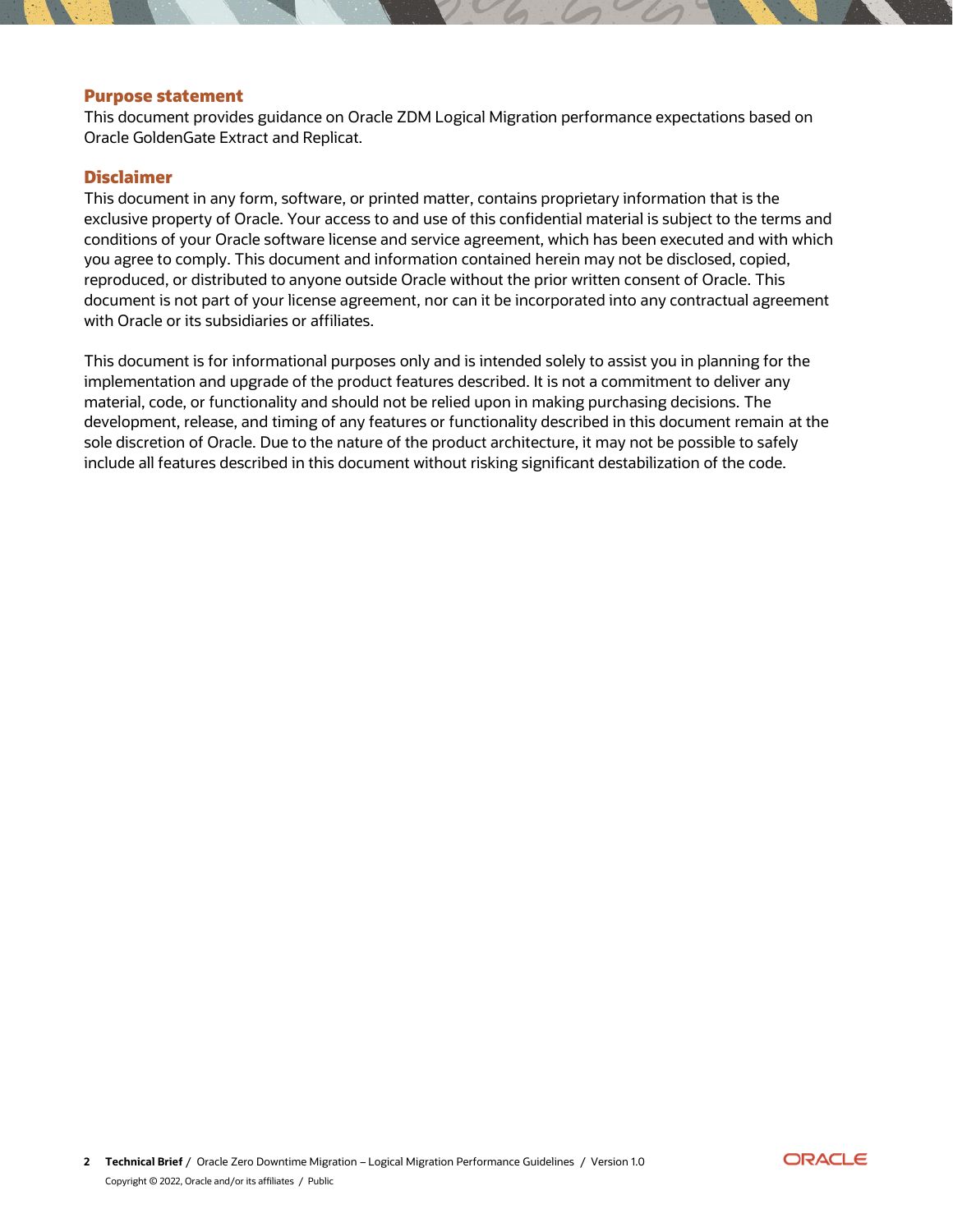#### <span id="page-1-0"></span>**Purpose statement**

This document provides guidance on Oracle ZDM Logical Migration performance expectations based on Oracle GoldenGate Extract and Replicat.

#### <span id="page-1-1"></span>**Disclaimer**

This document in any form, software, or printed matter, contains proprietary information that is the exclusive property of Oracle. Your access to and use of this confidential material is subject to the terms and conditions of your Oracle software license and service agreement, which has been executed and with which you agree to comply. This document and information contained herein may not be disclosed, copied, reproduced, or distributed to anyone outside Oracle without the prior written consent of Oracle. This document is not part of your license agreement, nor can it be incorporated into any contractual agreement with Oracle or its subsidiaries or affiliates.

This document is for informational purposes only and is intended solely to assist you in planning for the implementation and upgrade of the product features described. It is not a commitment to deliver any material, code, or functionality and should not be relied upon in making purchasing decisions. The development, release, and timing of any features or functionality described in this document remain at the sole discretion of Oracle. Due to the nature of the product architecture, it may not be possible to safely include all features described in this document without risking significant destabilization of the code.

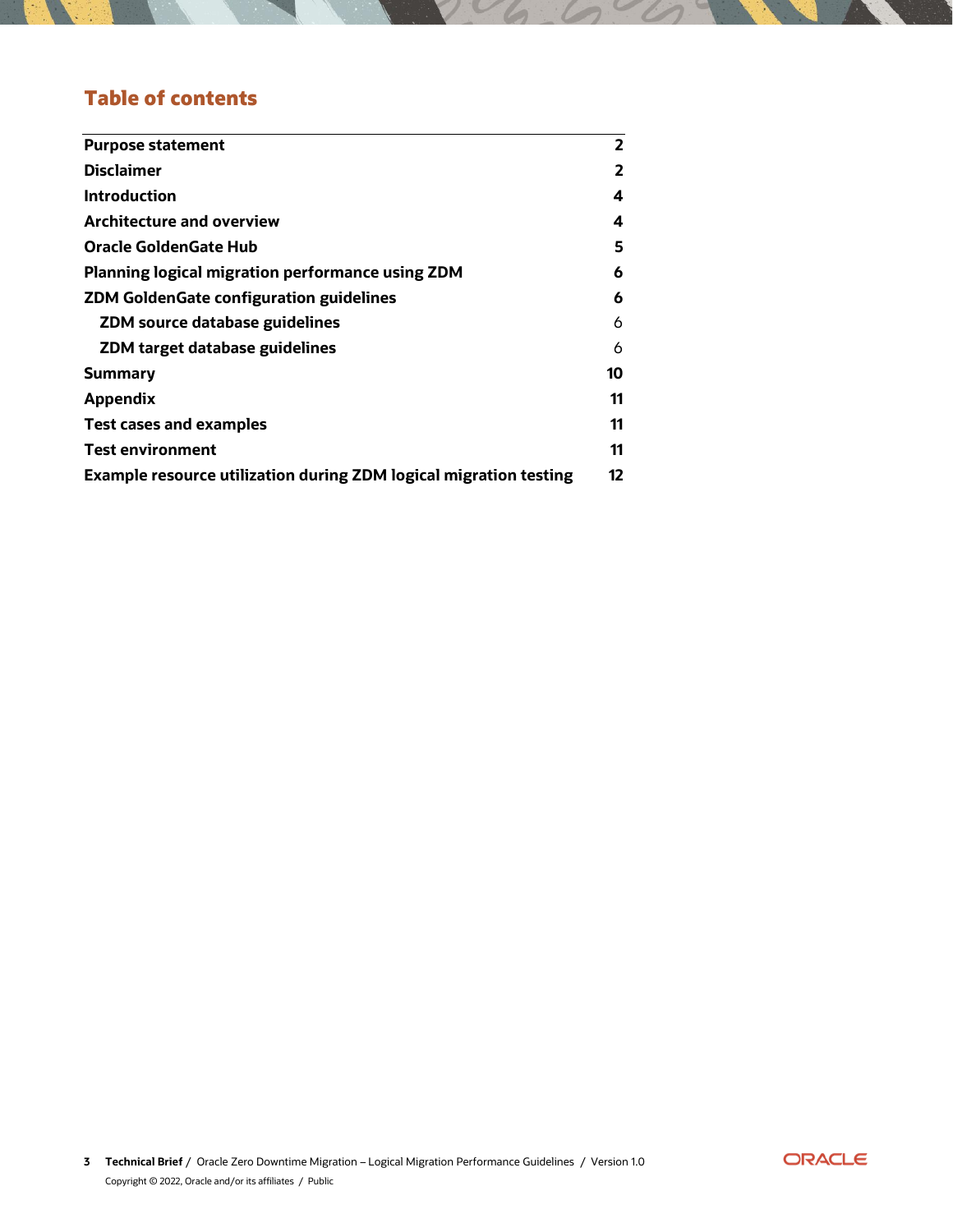# **Table of contents**

| <b>Purpose statement</b>                                                 | $\overline{2}$ |
|--------------------------------------------------------------------------|----------------|
| <b>Disclaimer</b>                                                        | 2              |
| <b>Introduction</b>                                                      | 4              |
| <b>Architecture and overview</b>                                         | 4              |
| Oracle GoldenGate Hub                                                    | 5              |
| Planning logical migration performance using ZDM                         | 6              |
| <b>ZDM GoldenGate configuration guidelines</b>                           | 6              |
| <b>ZDM source database guidelines</b>                                    | 6              |
| ZDM target database guidelines                                           | 6              |
| <b>Summary</b>                                                           | 10             |
| <b>Appendix</b>                                                          | 11             |
| <b>Test cases and examples</b>                                           | 11             |
| <b>Test environment</b>                                                  | 11             |
| <b>Example resource utilization during ZDM logical migration testing</b> | 12             |

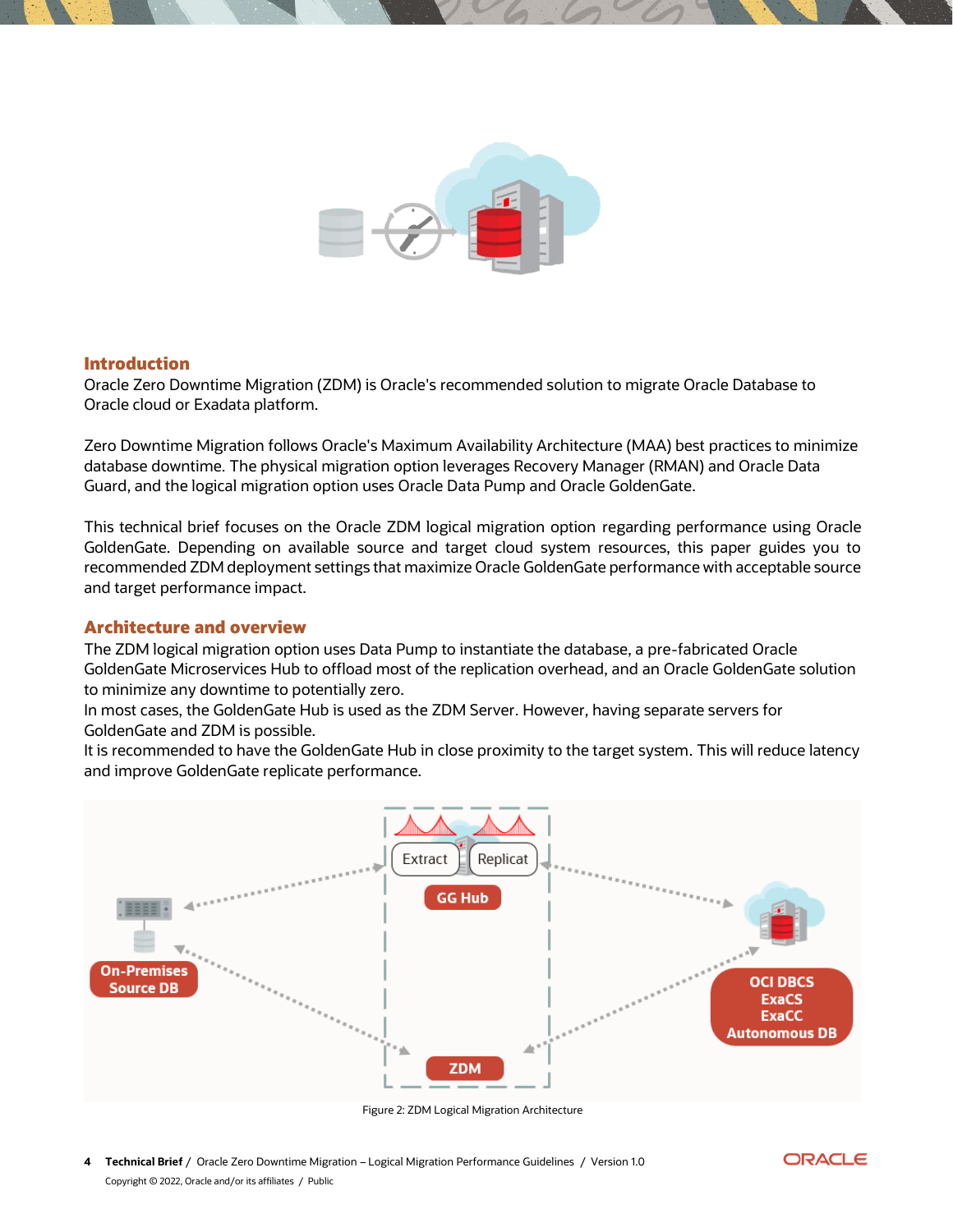

#### <span id="page-3-0"></span>**Introduction**

Oracle Zero Downtime Migration (ZDM) is Oracle's recommended solution to migrate Oracle Database to Oracle cloud or Exadata platform.

Zero Downtime Migration follows Oracle's Maximum Availability Architecture (MAA) best practices to minimize database downtime. The physical migration option leverages Recovery Manager (RMAN) and Oracle Data Guard, and the logical migration option uses Oracle Data Pump and Oracle GoldenGate.

This technical brief focuses on the Oracle ZDM logical migration option regarding performance using Oracle GoldenGate. Depending on available source and target cloud system resources, this paper guides you to recommended ZDM deployment settings that maximize Oracle GoldenGate performance with acceptable source and target performance impact.

#### <span id="page-3-1"></span>**Architecture and overview**

The ZDM logical migration option uses Data Pump to instantiate the database, a pre-fabricated Oracle GoldenGate Microservices Hub to offload most of the replication overhead, and an Oracle GoldenGate solution to minimize any downtime to potentially zero.

In most cases, the GoldenGate Hub is used as the ZDM Server. However, having separate servers for GoldenGate and ZDM is possible.

It is recommended to have the GoldenGate Hub in close proximity to the target system. This will reduce latency and improve GoldenGate replicate performance.



Figure 2: ZDM Logical Migration Architecture

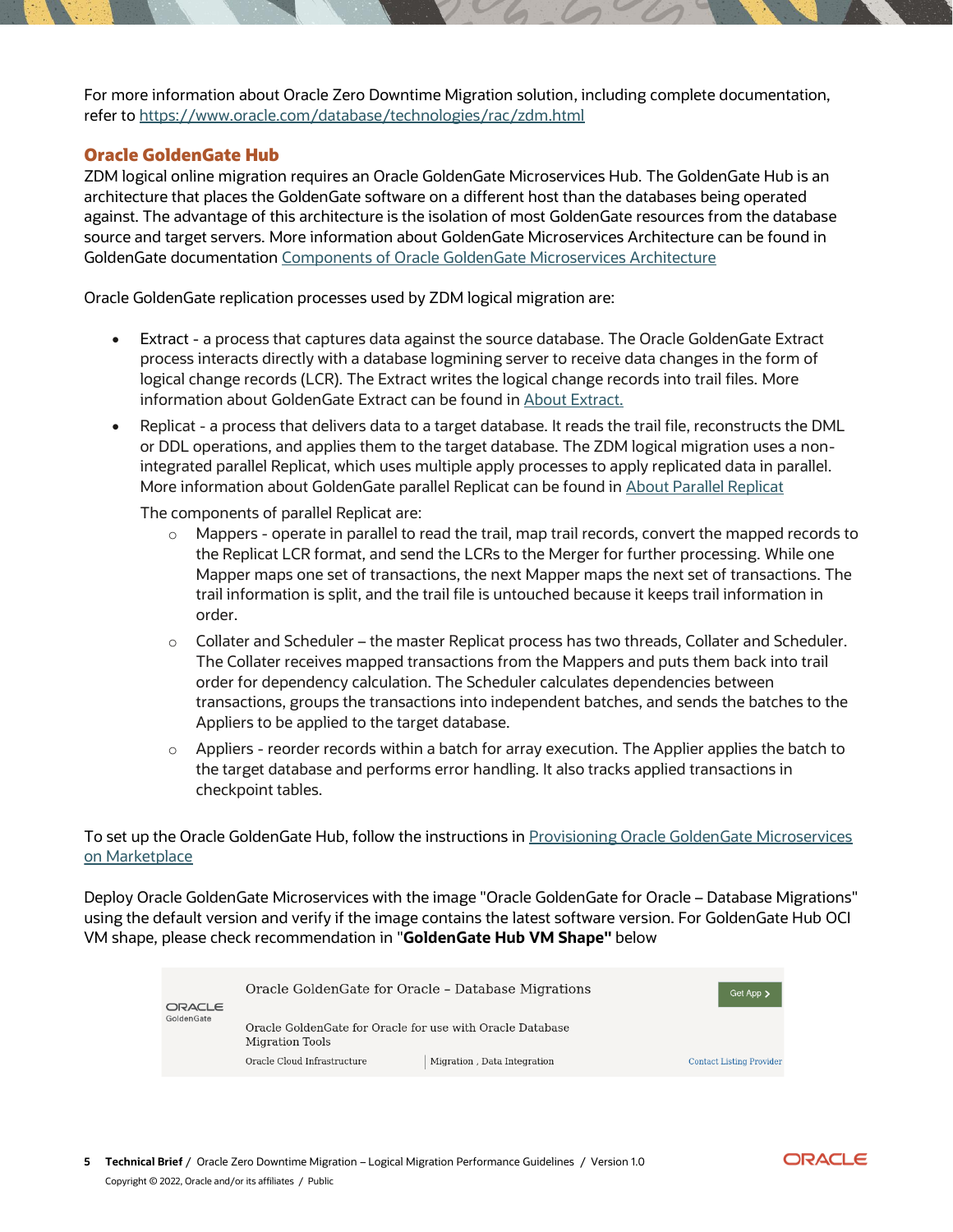For more information about Oracle Zero Downtime Migration solution, including complete documentation, refer t[o https://www.oracle.com/database/technologies/rac/zdm.html](https://www.oracle.com/database/technologies/rac/zdm.html)

# <span id="page-4-0"></span>**Oracle GoldenGate Hub**

ZDM logical online migration requires an Oracle GoldenGate Microservices Hub. The GoldenGate Hub is an architecture that places the GoldenGate software on a different host than the databases being operated against. The advantage of this architecture is the isolation of most GoldenGate resources from the database source and target servers. More information about GoldenGate Microservices Architecture can be found in GoldenGate documentation [Components of Oracle GoldenGate Microservices Architecture](https://docs.oracle.com/en/middleware/goldengate/core/21.3/understanding/getting-started-oracle-goldengate.html#GUID-5DB7A5A1-EF00-4709-A14E-FF0ADC18E842)

Oracle GoldenGate replication processes used by ZDM logical migration are:

- Extract a process that captures data against the source database. The Oracle GoldenGate Extract process interacts directly with a database logmining server to receive data changes in the form of logical change records (LCR). The Extract writes the logical change records into trail files. More information about GoldenGate Extract can be found i[n About Extract.](https://docs.oracle.com/en/middleware/goldengate/core/21.3/oracle-db/configuring-extract.html#GUID-A289A7C3-632D-49CB-9E11-BE267575D915)
- Replicat a process that delivers data to a target database. It reads the trail file, reconstructs the DML or DDL operations, and applies them to the target database. The ZDM logical migration uses a nonintegrated parallel Replicat, which uses multiple apply processes to apply replicated data in parallel. More information about GoldenGate parallel Replicat can be found in [About Parallel Replicat](https://docs.oracle.com/en/middleware/goldengate/core/21.3/oracle-db/choosing-capture-and-apply-modes.html#GUID-05FC3EA1-5A9E-4587-9E4E-3532AB4B6FC7)

The components of parallel Replicat are:

- $\circ$  Mappers operate in parallel to read the trail, map trail records, convert the mapped records to the Replicat LCR format, and send the LCRs to the Merger for further processing. While one Mapper maps one set of transactions, the next Mapper maps the next set of transactions. The trail information is split, and the trail file is untouched because it keeps trail information in order.
- $\circ$  Collater and Scheduler the master Replicat process has two threads, Collater and Scheduler. The Collater receives mapped transactions from the Mappers and puts them back into trail order for dependency calculation. The Scheduler calculates dependencies between transactions, groups the transactions into independent batches, and sends the batches to the Appliers to be applied to the target database.
- $\circ$  Appliers reorder records within a batch for array execution. The Applier applies the batch to the target database and performs error handling. It also tracks applied transactions in checkpoint tables.

To set up the Oracle GoldenGate Hub, follow the instructions in Provisioning Oracle GoldenGate Microservices [on Marketplace](https://docs.oracle.com/en/middleware/goldengate/core/21.1/oggmp/provisioning-oracle-goldengate-microservices-oci-marketplace.html)

Deploy Oracle GoldenGate Microservices with the image "Oracle GoldenGate for Oracle – Database Migrations" using the default version and verify if the image contains the latest software version. For GoldenGate Hub OCI VM shape, please check recommendation in "**GoldenGate Hub VM Shape"** below

| ORACLE     | Oracle Golden Gate for Oracle - Database Migrations                           | Get App >                   |                                 |
|------------|-------------------------------------------------------------------------------|-----------------------------|---------------------------------|
| GoldenGate | Oracle Golden Gate for Oracle for use with Oracle Database<br>Migration Tools |                             |                                 |
|            | Oracle Cloud Infrastructure                                                   | Migration, Data Integration | <b>Contact Listing Provider</b> |

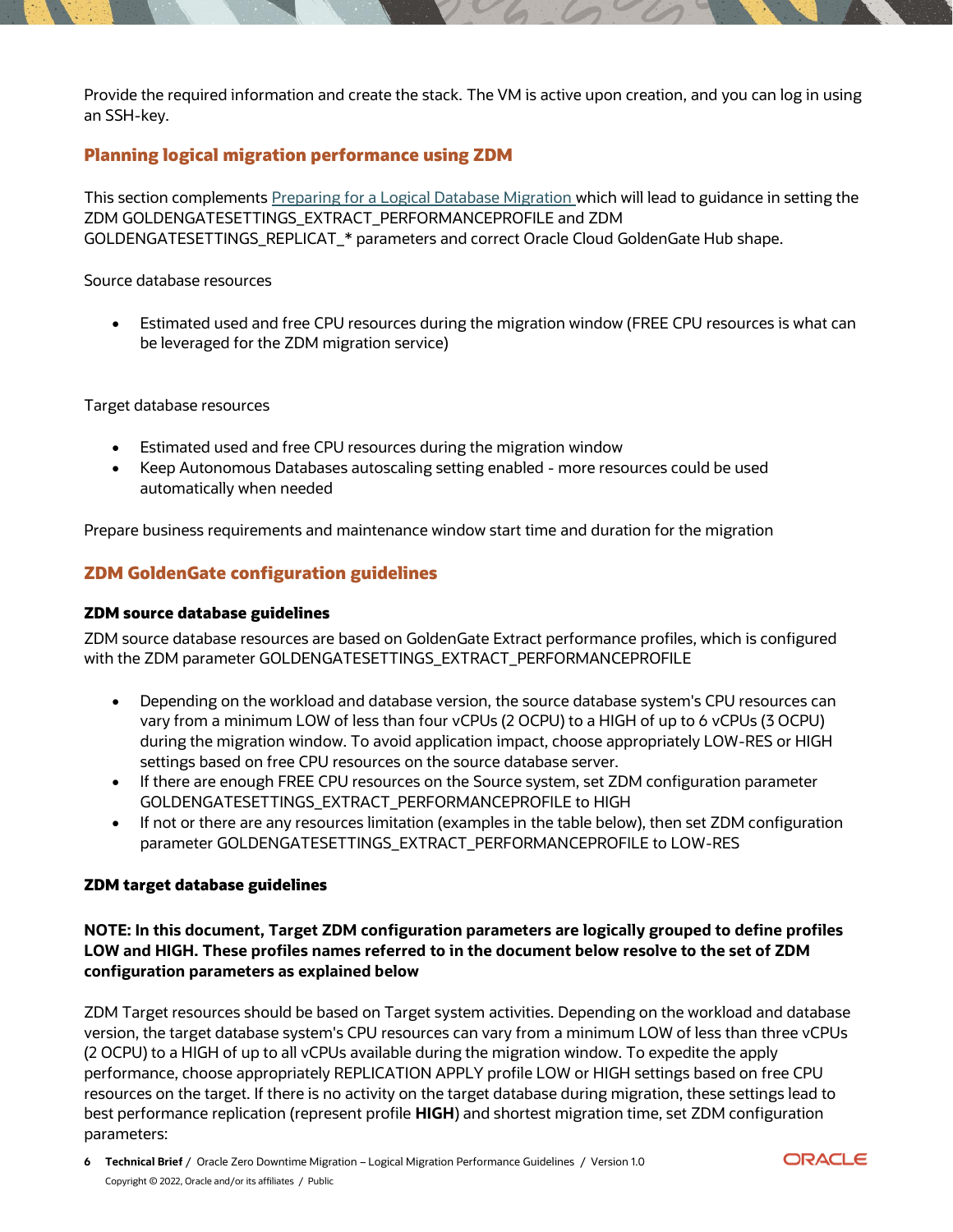Provide the required information and create the stack. The VM is active upon creation, and you can log in using an SSH-key.

# <span id="page-5-0"></span>**Planning logical migration performance using ZDM**

This section complement[s Preparing for a Logical Database Migration w](https://docs.oracle.com/en/database/oracle/zero-downtime-migration/21.2/zdmug/preparing-logical-database-migration1.html#GUID-53169B81-1574-4A69-B5B7-3AC1F4F48E8A)hich will lead to guidance in setting the ZDM GOLDENGATESETTINGS\_EXTRACT\_PERFORMANCEPROFILE and ZDM GOLDENGATESETTINGS\_REPLICAT\_\* parameters and correct Oracle Cloud GoldenGate Hub shape.

#### Source database resources

• Estimated used and free CPU resources during the migration window (FREE CPU resources is what can be leveraged for the ZDM migration service)

Target database resources

- Estimated used and free CPU resources during the migration window
- Keep Autonomous Databases autoscaling setting enabled more resources could be used automatically when needed

Prepare business requirements and maintenance window start time and duration for the migration

# <span id="page-5-2"></span><span id="page-5-1"></span>**ZDM GoldenGate configuration guidelines**

#### **ZDM source database guidelines**

ZDM source database resources are based on GoldenGate Extract performance profiles, which is configured with the ZDM parameter GOLDENGATESETTINGS\_EXTRACT\_PERFORMANCEPROFILE

- Depending on the workload and database version, the source database system's CPU resources can vary from a minimum LOW of less than four vCPUs (2 OCPU) to a HIGH of up to 6 vCPUs (3 OCPU) during the migration window. To avoid application impact, choose appropriately LOW-RES or HIGH settings based on free CPU resources on the source database server.
- If there are enough FREE CPU resources on the Source system, set ZDM configuration parameter GOLDENGATESETTINGS\_EXTRACT\_PERFORMANCEPROFILE to HIGH
- If not or there are any resources limitation (examples in the table below), then set ZDM configuration parameter GOLDENGATESETTINGS\_EXTRACT\_PERFORMANCEPROFILE to LOW-RES

#### <span id="page-5-3"></span>**ZDM target database guidelines**

## **NOTE: In this document, Target ZDM configuration parameters are logically grouped to define profiles LOW and HIGH. These profiles names referred to in the document below resolve to the set of ZDM configuration parameters as explained below**

ZDM Target resources should be based on Target system activities. Depending on the workload and database version, the target database system's CPU resources can vary from a minimum LOW of less than three vCPUs (2 OCPU) to a HIGH of up to all vCPUs available during the migration window. To expedite the apply performance, choose appropriately REPLICATION APPLY profile LOW or HIGH settings based on free CPU resources on the target. If there is no activity on the target database during migration, these settings lead to best performance replication (represent profile **HIGH**) and shortest migration time, set ZDM configuration parameters:

**ORACLE**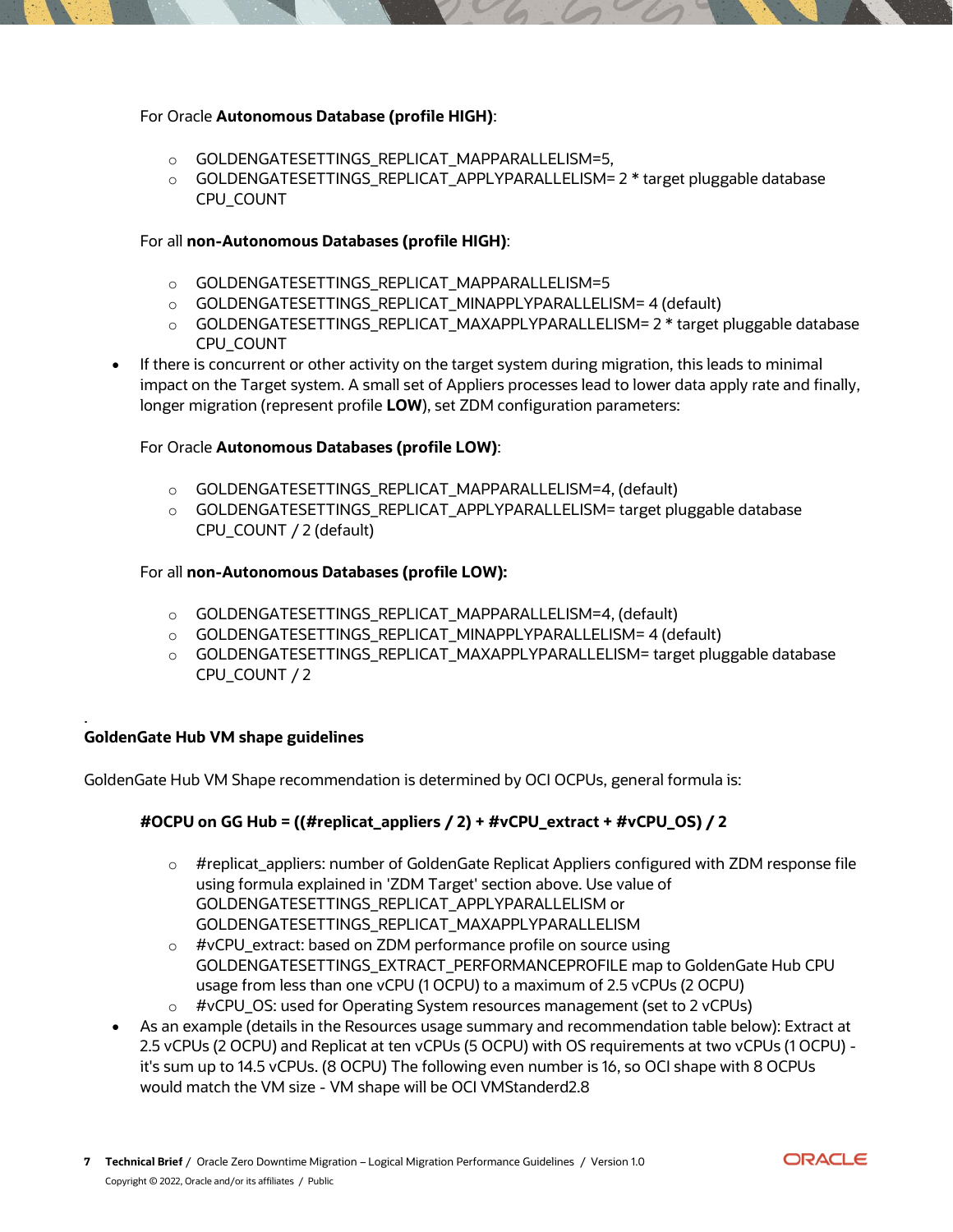### For Oracle **Autonomous Database (profile HIGH)**:

- o GOLDENGATESETTINGS\_REPLICAT\_MAPPARALLELISM=5,
- o GOLDENGATESETTINGS\_REPLICAT\_APPLYPARALLELISM= 2 \* target pluggable database CPU\_COUNT

# For all **non-Autonomous Databases (profile HIGH)**:

- o GOLDENGATESETTINGS\_REPLICAT\_MAPPARALLELISM=5
- o GOLDENGATESETTINGS\_REPLICAT\_MINAPPLYPARALLELISM= 4 (default)
- o GOLDENGATESETTINGS\_REPLICAT\_MAXAPPLYPARALLELISM= 2 \* target pluggable database CPU\_COUNT
- If there is concurrent or other activity on the target system during migration, this leads to minimal impact on the Target system. A small set of Appliers processes lead to lower data apply rate and finally, longer migration (represent profile **LOW**), set ZDM configuration parameters:

# For Oracle **Autonomous Databases (profile LOW)**:

- o GOLDENGATESETTINGS\_REPLICAT\_MAPPARALLELISM=4, (default)
- o GOLDENGATESETTINGS\_REPLICAT\_APPLYPARALLELISM= target pluggable database CPU\_COUNT / 2 (default)

#### For all **non-Autonomous Databases (profile LOW):**

- o GOLDENGATESETTINGS\_REPLICAT\_MAPPARALLELISM=4, (default)
- o GOLDENGATESETTINGS\_REPLICAT\_MINAPPLYPARALLELISM= 4 (default)
- o GOLDENGATESETTINGS\_REPLICAT\_MAXAPPLYPARALLELISM= target pluggable database CPU\_COUNT / 2

# **GoldenGate Hub VM shape guidelines**

.

GoldenGate Hub VM Shape recommendation is determined by OCI OCPUs, general formula is:

# **#OCPU on GG Hub = ((#replicat\_appliers / 2) + #vCPU\_extract + #vCPU\_OS) / 2**

- o #replicat\_appliers: number of GoldenGate Replicat Appliers configured with ZDM response file using formula explained in 'ZDM Target' section above. Use value of GOLDENGATESETTINGS\_REPLICAT\_APPLYPARALLELISM or GOLDENGATESETTINGS\_REPLICAT\_MAXAPPLYPARALLELISM
- o #vCPU\_extract: based on ZDM performance profile on source using GOLDENGATESETTINGS\_EXTRACT\_PERFORMANCEPROFILE map to GoldenGate Hub CPU usage from less than one vCPU (1 OCPU) to a maximum of 2.5 vCPUs (2 OCPU)
- $\circ$  #vCPU\_OS: used for Operating System resources management (set to 2 vCPUs)
- As an example (details in the Resources usage summary and recommendation table below): Extract at 2.5 vCPUs (2 OCPU) and Replicat at ten vCPUs (5 OCPU) with OS requirements at two vCPUs (1 OCPU) it's sum up to 14.5 vCPUs. (8 OCPU) The following even number is 16, so OCI shape with 8 OCPUs would match the VM size - VM shape will be OCI VMStanderd2.8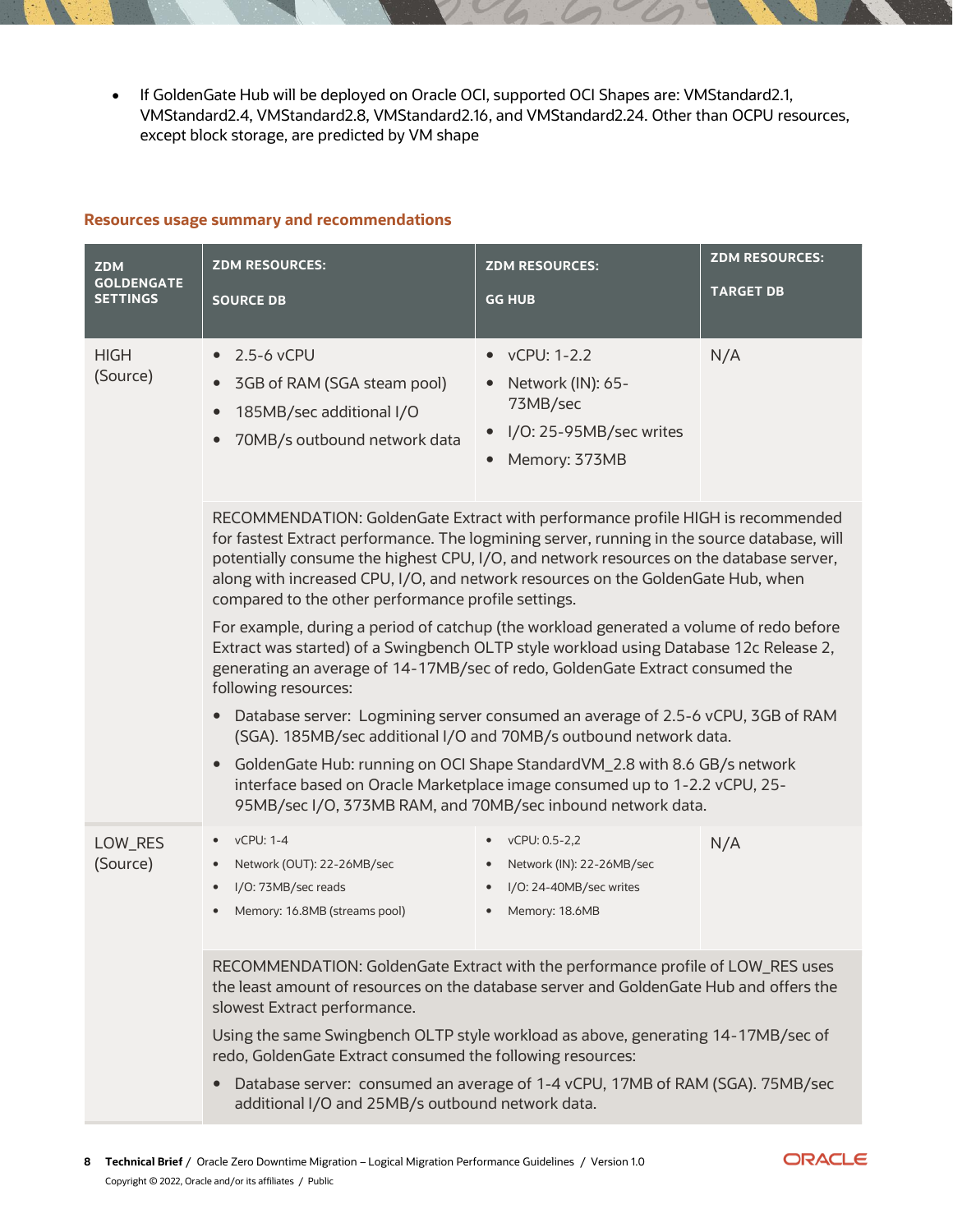• If GoldenGate Hub will be deployed on Oracle OCI, supported OCI Shapes are: VMStandard2.1, VMStandard2.4, VMStandard2.8, VMStandard2.16, and VMStandard2.24. Other than OCPU resources, except block storage, are predicted by VM shape

#### **Resources usage summary and recommendations**

| <b>ZDM</b>                           | <b>ZDM RESOURCES:</b>                                                                                                                                                                                                                                                                                                                                                                                                | <b>ZDM RESOURCES:</b>                                                                                 | <b>ZDM RESOURCES:</b> |  |  |  |  |  |  |
|--------------------------------------|----------------------------------------------------------------------------------------------------------------------------------------------------------------------------------------------------------------------------------------------------------------------------------------------------------------------------------------------------------------------------------------------------------------------|-------------------------------------------------------------------------------------------------------|-----------------------|--|--|--|--|--|--|
| <b>GOLDENGATE</b><br><b>SETTINGS</b> | <b>SOURCE DB</b>                                                                                                                                                                                                                                                                                                                                                                                                     | <b>GG HUB</b>                                                                                         | <b>TARGET DB</b>      |  |  |  |  |  |  |
| <b>HIGH</b><br>(Source)              | 2.5-6 vCPU<br>$\bullet$<br>3GB of RAM (SGA steam pool)<br>$\bullet$<br>185MB/sec additional I/O<br>$\bullet$<br>70MB/s outbound network data                                                                                                                                                                                                                                                                         | vCPU: 1-2.2<br>Network (IN): 65-<br>73MB/sec<br>I/O: 25-95MB/sec writes<br>Memory: 373MB<br>$\bullet$ | N/A                   |  |  |  |  |  |  |
|                                      | RECOMMENDATION: GoldenGate Extract with performance profile HIGH is recommended<br>for fastest Extract performance. The logmining server, running in the source database, will<br>potentially consume the highest CPU, I/O, and network resources on the database server,<br>along with increased CPU, I/O, and network resources on the GoldenGate Hub, when<br>compared to the other performance profile settings. |                                                                                                       |                       |  |  |  |  |  |  |
|                                      | For example, during a period of catchup (the workload generated a volume of redo before<br>Extract was started) of a Swingbench OLTP style workload using Database 12c Release 2,<br>generating an average of 14-17MB/sec of redo, GoldenGate Extract consumed the<br>following resources:                                                                                                                           |                                                                                                       |                       |  |  |  |  |  |  |
|                                      | Database server: Logmining server consumed an average of 2.5-6 vCPU, 3GB of RAM<br>(SGA). 185MB/sec additional I/O and 70MB/s outbound network data.                                                                                                                                                                                                                                                                 |                                                                                                       |                       |  |  |  |  |  |  |
|                                      | GoldenGate Hub: running on OCI Shape StandardVM_2.8 with 8.6 GB/s network<br>$\bullet$<br>interface based on Oracle Marketplace image consumed up to 1-2.2 vCPU, 25-<br>95MB/sec I/O, 373MB RAM, and 70MB/sec inbound network data.                                                                                                                                                                                  |                                                                                                       |                       |  |  |  |  |  |  |
| LOW_RES<br>(Source)                  | vCPU: 1-4<br>$\bullet$<br>Network (OUT): 22-26MB/sec<br>٠<br>I/O: 73MB/sec reads<br>٠<br>Memory: 16.8MB (streams pool)                                                                                                                                                                                                                                                                                               | vCPU: 0.5-2,2<br>$\bullet$<br>Network (IN): 22-26MB/sec<br>I/O: 24-40MB/sec writes<br>Memory: 18.6MB  | N/A                   |  |  |  |  |  |  |
|                                      | RECOMMENDATION: GoldenGate Extract with the performance profile of LOW_RES uses<br>the least amount of resources on the database server and GoldenGate Hub and offers the<br>slowest Extract performance.                                                                                                                                                                                                            |                                                                                                       |                       |  |  |  |  |  |  |
|                                      | Using the same Swingbench OLTP style workload as above, generating 14-17MB/sec of<br>redo, GoldenGate Extract consumed the following resources:                                                                                                                                                                                                                                                                      |                                                                                                       |                       |  |  |  |  |  |  |
|                                      | Database server: consumed an average of 1-4 vCPU, 17MB of RAM (SGA). 75MB/sec<br>additional I/O and 25MB/s outbound network data.                                                                                                                                                                                                                                                                                    |                                                                                                       |                       |  |  |  |  |  |  |

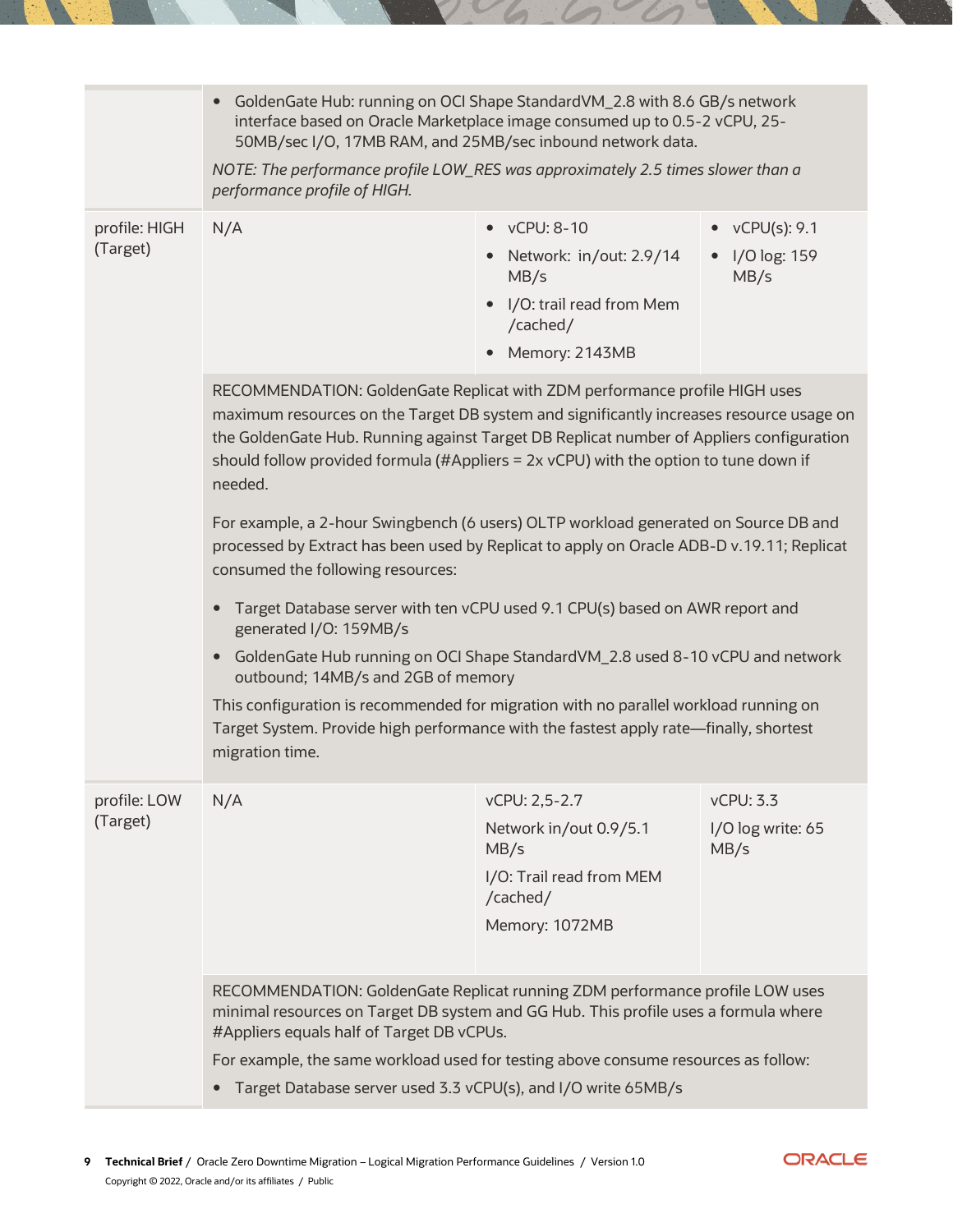|                           | GoldenGate Hub: running on OCI Shape StandardVM_2.8 with 8.6 GB/s network<br>interface based on Oracle Marketplace image consumed up to 0.5-2 vCPU, 25-<br>50MB/sec I/O, 17MB RAM, and 25MB/sec inbound network data.<br>NOTE: The performance profile LOW_RES was approximately 2.5 times slower than a<br>performance profile of HIGH.                                                                                                                                                                                                                                                                                                                                                                                                                                                                                                                                                                                                                                                                                          |                                                                                                                   |                                        |  |  |  |
|---------------------------|-----------------------------------------------------------------------------------------------------------------------------------------------------------------------------------------------------------------------------------------------------------------------------------------------------------------------------------------------------------------------------------------------------------------------------------------------------------------------------------------------------------------------------------------------------------------------------------------------------------------------------------------------------------------------------------------------------------------------------------------------------------------------------------------------------------------------------------------------------------------------------------------------------------------------------------------------------------------------------------------------------------------------------------|-------------------------------------------------------------------------------------------------------------------|----------------------------------------|--|--|--|
|                           |                                                                                                                                                                                                                                                                                                                                                                                                                                                                                                                                                                                                                                                                                                                                                                                                                                                                                                                                                                                                                                   |                                                                                                                   |                                        |  |  |  |
| profile: HIGH<br>(Target) | N/A                                                                                                                                                                                                                                                                                                                                                                                                                                                                                                                                                                                                                                                                                                                                                                                                                                                                                                                                                                                                                               | $\bullet$ vCPU: 8-10<br>Network: in/out: 2.9/14<br>MB/s<br>I/O: trail read from Mem<br>/cached/<br>Memory: 2143MB | vCPU(s): 9.1<br>I/O log: 159<br>MB/s   |  |  |  |
|                           | RECOMMENDATION: GoldenGate Replicat with ZDM performance profile HIGH uses<br>maximum resources on the Target DB system and significantly increases resource usage on<br>the GoldenGate Hub. Running against Target DB Replicat number of Appliers configuration<br>should follow provided formula (#Appliers = 2x vCPU) with the option to tune down if<br>needed.<br>For example, a 2-hour Swingbench (6 users) OLTP workload generated on Source DB and<br>processed by Extract has been used by Replicat to apply on Oracle ADB-D v.19.11; Replicat<br>consumed the following resources:<br>Target Database server with ten vCPU used 9.1 CPU(s) based on AWR report and<br>generated I/O: 159MB/s<br>GoldenGate Hub running on OCI Shape StandardVM_2.8 used 8-10 vCPU and network<br>outbound; 14MB/s and 2GB of memory<br>This configuration is recommended for migration with no parallel workload running on<br>Target System. Provide high performance with the fastest apply rate—finally, shortest<br>migration time. |                                                                                                                   |                                        |  |  |  |
| profile: LOW<br>(Target)  | N/A                                                                                                                                                                                                                                                                                                                                                                                                                                                                                                                                                                                                                                                                                                                                                                                                                                                                                                                                                                                                                               | vCPU: 2,5-2.7<br>Network in/out 0.9/5.1<br>MB/s<br>I/O: Trail read from MEM<br>/cached/<br>Memory: 1072MB         | vCPU: 3.3<br>I/O log write: 65<br>MB/s |  |  |  |
|                           | RECOMMENDATION: GoldenGate Replicat running ZDM performance profile LOW uses<br>minimal resources on Target DB system and GG Hub. This profile uses a formula where<br>#Appliers equals half of Target DB vCPUs.<br>For example, the same workload used for testing above consume resources as follow:<br>Target Database server used 3.3 vCPU(s), and I/O write 65MB/s                                                                                                                                                                                                                                                                                                                                                                                                                                                                                                                                                                                                                                                           |                                                                                                                   |                                        |  |  |  |

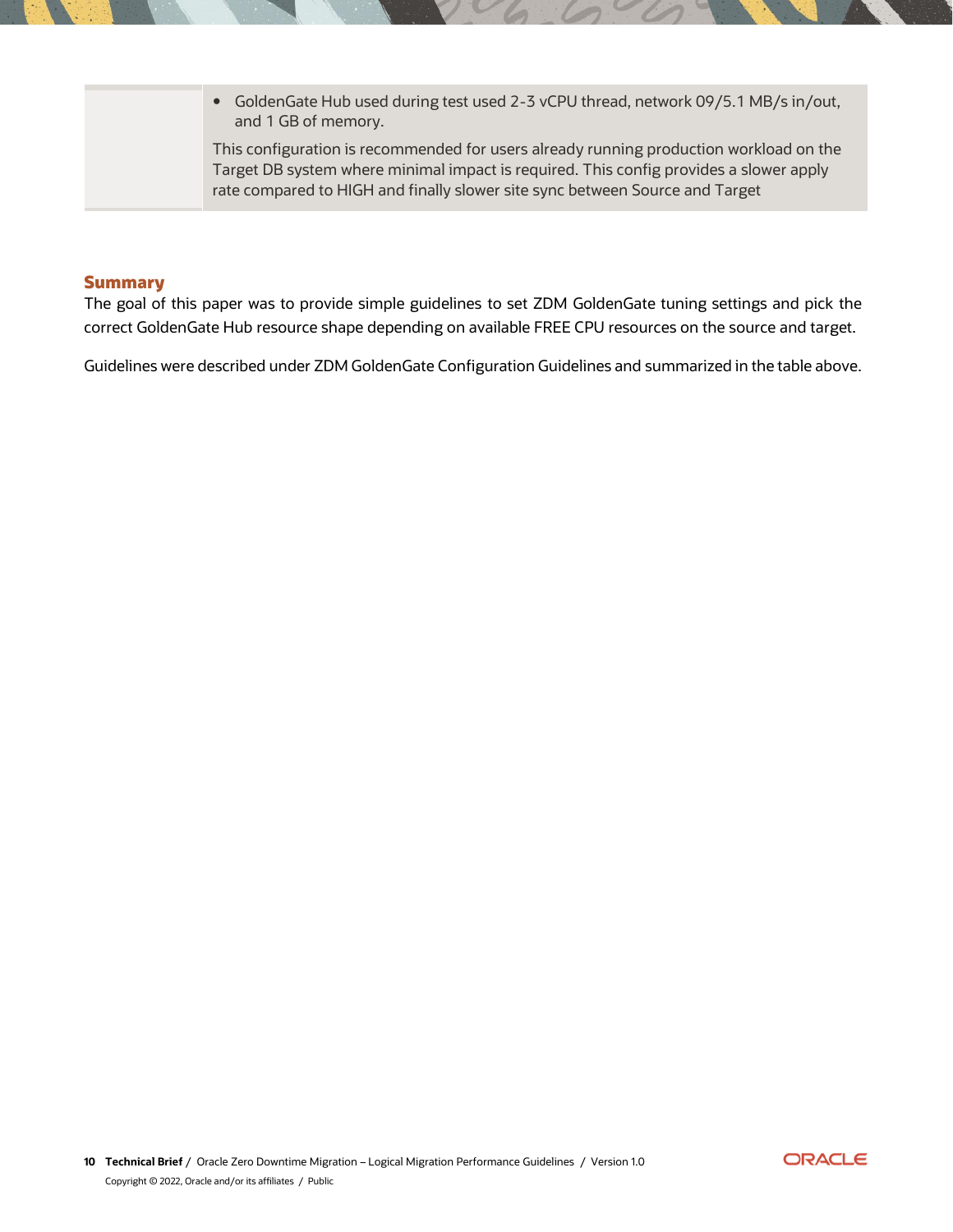| • GoldenGate Hub used during test used 2-3 vCPU thread, network 09/5.1 MB/s in/out,<br>and 1 GB of memory.                                                                                                                                                       |
|------------------------------------------------------------------------------------------------------------------------------------------------------------------------------------------------------------------------------------------------------------------|
| This configuration is recommended for users already running production workload on the<br>Target DB system where minimal impact is required. This config provides a slower apply<br>rate compared to HIGH and finally slower site sync between Source and Target |

# <span id="page-9-0"></span>**Summary**

The goal of this paper was to provide simple guidelines to set ZDM GoldenGate tuning settings and pick the correct GoldenGate Hub resource shape depending on available FREE CPU resources on the source and target.

Guidelines were described under ZDM GoldenGate Configuration Guidelines and summarized in the table above.

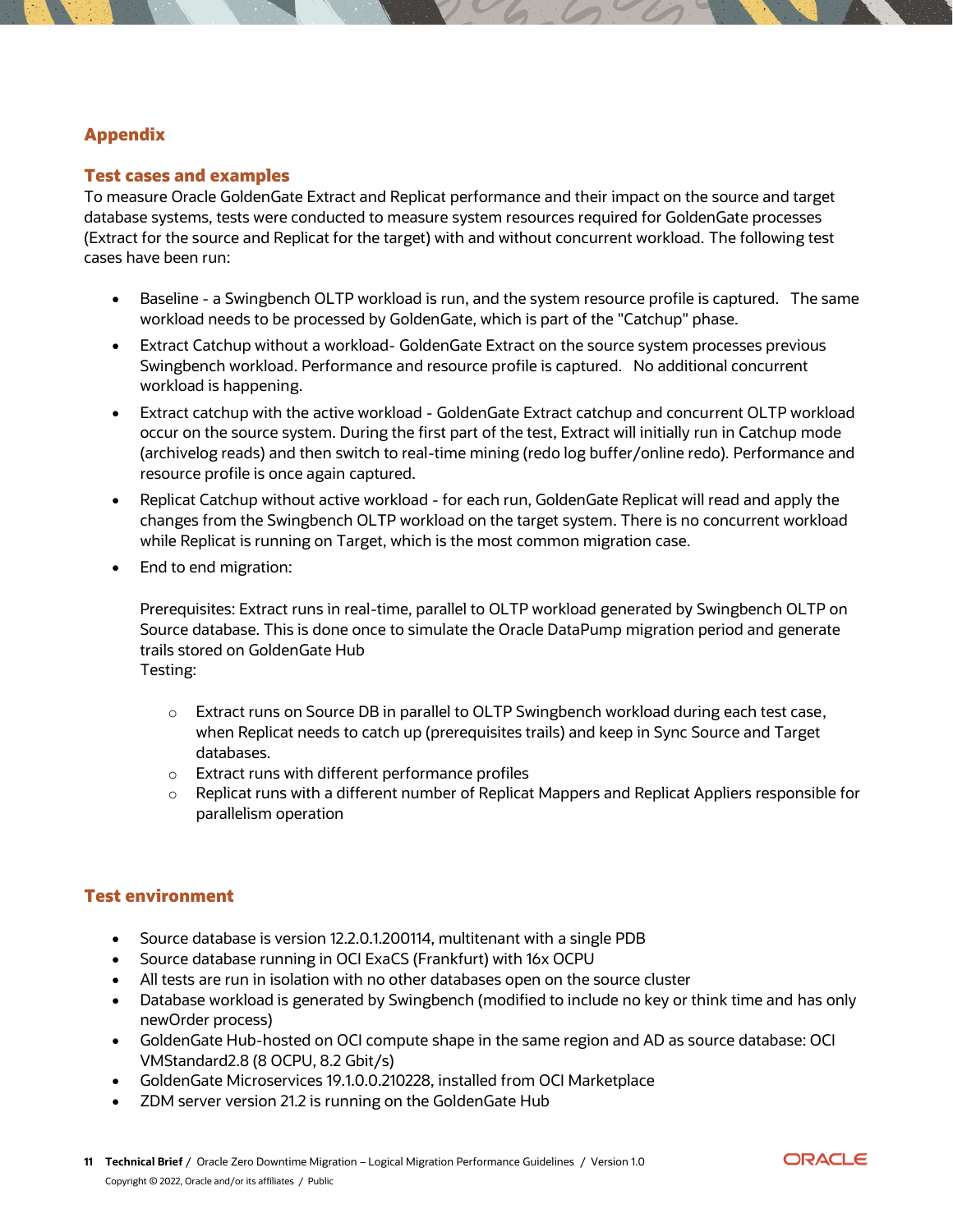# <span id="page-10-1"></span><span id="page-10-0"></span>**Appendix**

#### **Test cases and examples**

To measure Oracle GoldenGate Extract and Replicat performance and their impact on the source and target database systems, tests were conducted to measure system resources required for GoldenGate processes (Extract for the source and Replicat for the target) with and without concurrent workload. The following test cases have been run:

- Baseline a Swingbench OLTP workload is run, and the system resource profile is captured. The same workload needs to be processed by GoldenGate, which is part of the "Catchup" phase.
- Extract Catchup without a workload- GoldenGate Extract on the source system processes previous Swingbench workload. Performance and resource profile is captured. No additional concurrent workload is happening.
- Extract catchup with the active workload GoldenGate Extract catchup and concurrent OLTP workload occur on the source system. During the first part of the test, Extract will initially run in Catchup mode (archivelog reads) and then switch to real-time mining (redo log buffer/online redo). Performance and resource profile is once again captured.
- Replicat Catchup without active workload for each run, GoldenGate Replicat will read and apply the changes from the Swingbench OLTP workload on the target system. There is no concurrent workload while Replicat is running on Target, which is the most common migration case.
- End to end migration:

Prerequisites: Extract runs in real-time, parallel to OLTP workload generated by Swingbench OLTP on Source database. This is done once to simulate the Oracle DataPump migration period and generate trails stored on GoldenGate Hub Testing:

- o Extract runs on Source DB in parallel to OLTP Swingbench workload during each test case, when Replicat needs to catch up (prerequisites trails) and keep in Sync Source and Target databases.
- o Extract runs with different performance profiles
- $\circ$  Replicat runs with a different number of Replicat Mappers and Replicat Appliers responsible for parallelism operation

# <span id="page-10-2"></span>**Test environment**

- Source database is version 12.2.0.1.200114, multitenant with a single PDB
- Source database running in OCI ExaCS (Frankfurt) with 16x OCPU
- All tests are run in isolation with no other databases open on the source cluster
- Database workload is generated by Swingbench (modified to include no key or think time and has only newOrder process)
- GoldenGate Hub-hosted on OCI compute shape in the same region and AD as source database: OCI VMStandard2.8 (8 OCPU, 8.2 Gbit/s)
- GoldenGate Microservices 19.1.0.0.210228, installed from OCI Marketplace
- ZDM server version 21.2 is running on the GoldenGate Hub

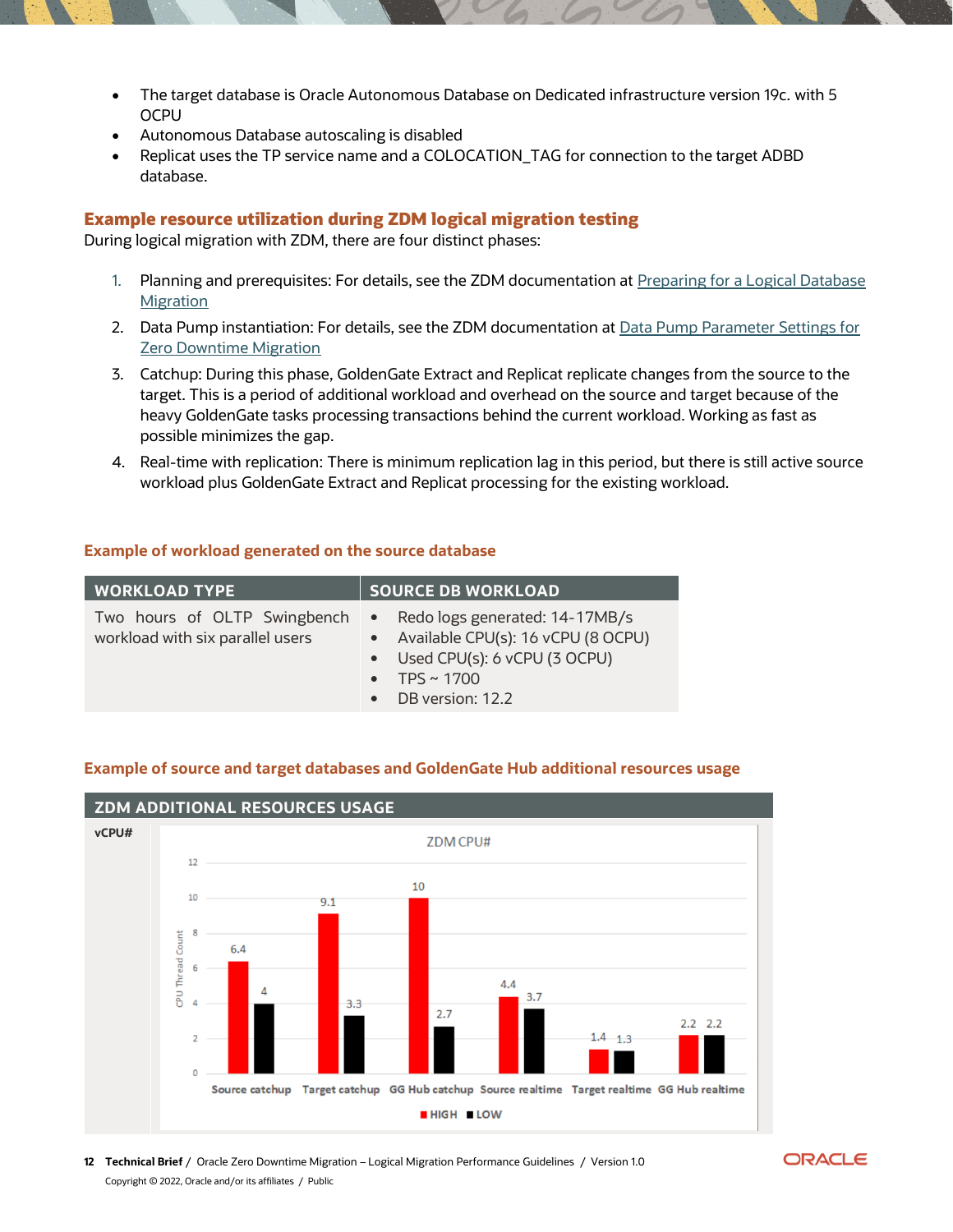- The target database is Oracle Autonomous Database on Dedicated infrastructure version 19c. with 5 **OCPU**
- Autonomous Database autoscaling is disabled
- Replicat uses the TP service name and a COLOCATION\_TAG for connection to the target ADBD database.

#### <span id="page-11-0"></span>**Example resource utilization during ZDM logical migration testing**

During logical migration with ZDM, there are four distinct phases:

- 1. Planning and prerequisites: For details, see the ZDM documentation at Preparing for a Logical Database [Migration](https://docs.oracle.com/en/database/oracle/zero-downtime-migration/21.2/zdmug/preparing-logical-database-migration1.html#GUID-53169B81-1574-4A69-B5B7-3AC1F4F48E8A)
- 2. Data Pump instantiation: For details, see the ZDM documentation at Data Pump Parameter Settings for [Zero Downtime Migration](https://docs.oracle.com/en/database/oracle/zero-downtime-migration/21.2/zdmug/preparing-logical-database-migration1.html#GUID-AE6D7CFD-47AE-4AAD-80AC-4850E60F2ED7)
- 3. Catchup: During this phase, GoldenGate Extract and Replicat replicate changes from the source to the target. This is a period of additional workload and overhead on the source and target because of the heavy GoldenGate tasks processing transactions behind the current workload. Working as fast as possible minimizes the gap.
- 4. Real-time with replication: There is minimum replication lag in this period, but there is still active source workload plus GoldenGate Extract and Replicat processing for the existing workload.

#### **Example of workload generated on the source database**

| <b>WORKLOAD TYPE</b>                                             | <b>SOURCE DB WORKLOAD</b>                                                                                                                      |
|------------------------------------------------------------------|------------------------------------------------------------------------------------------------------------------------------------------------|
| Two hours of OLTP Swingbench<br>workload with six parallel users | • Redo logs generated: 14-17MB/s<br>• Available CPU(s): 16 vCPU (8 OCPU)<br>• Used CPU(s): 6 vCPU (3 OCPU)<br>• TPS ~ 1700<br>DB version: 12.2 |

#### **Example of source and target databases and GoldenGate Hub additional resources usage**



**12 Technical Brief** / Oracle Zero Downtime Migration – Logical Migration Performance Guidelines / Version 1.0 Copyright © 2022, Oracle and/or its affiliates / Public

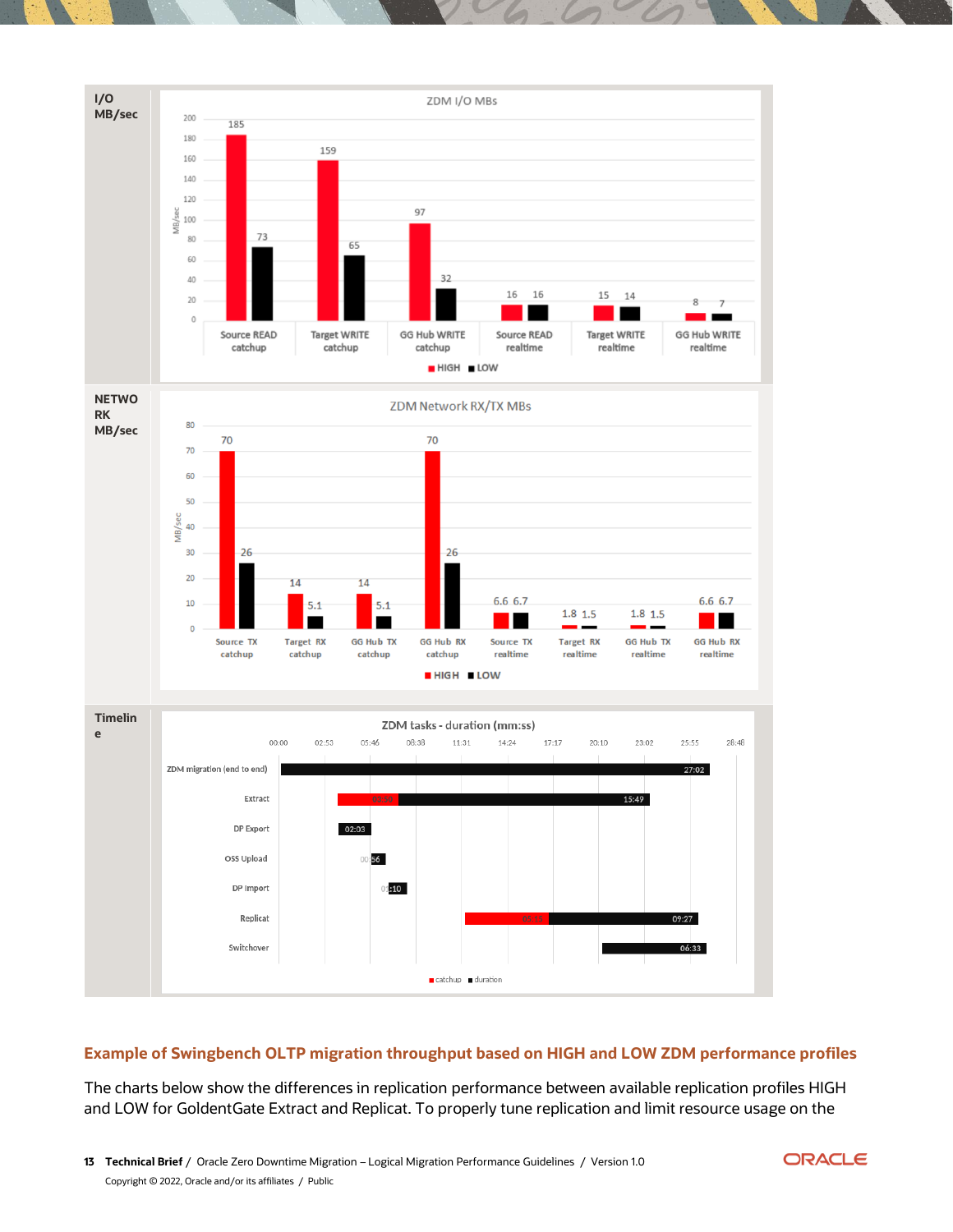

# **Example of Swingbench OLTP migration throughput based on HIGH and LOW ZDM performance profiles**

The charts below show the differences in replication performance between available replication profiles HIGH and LOW for GoldentGate Extract and Replicat. To properly tune replication and limit resource usage on the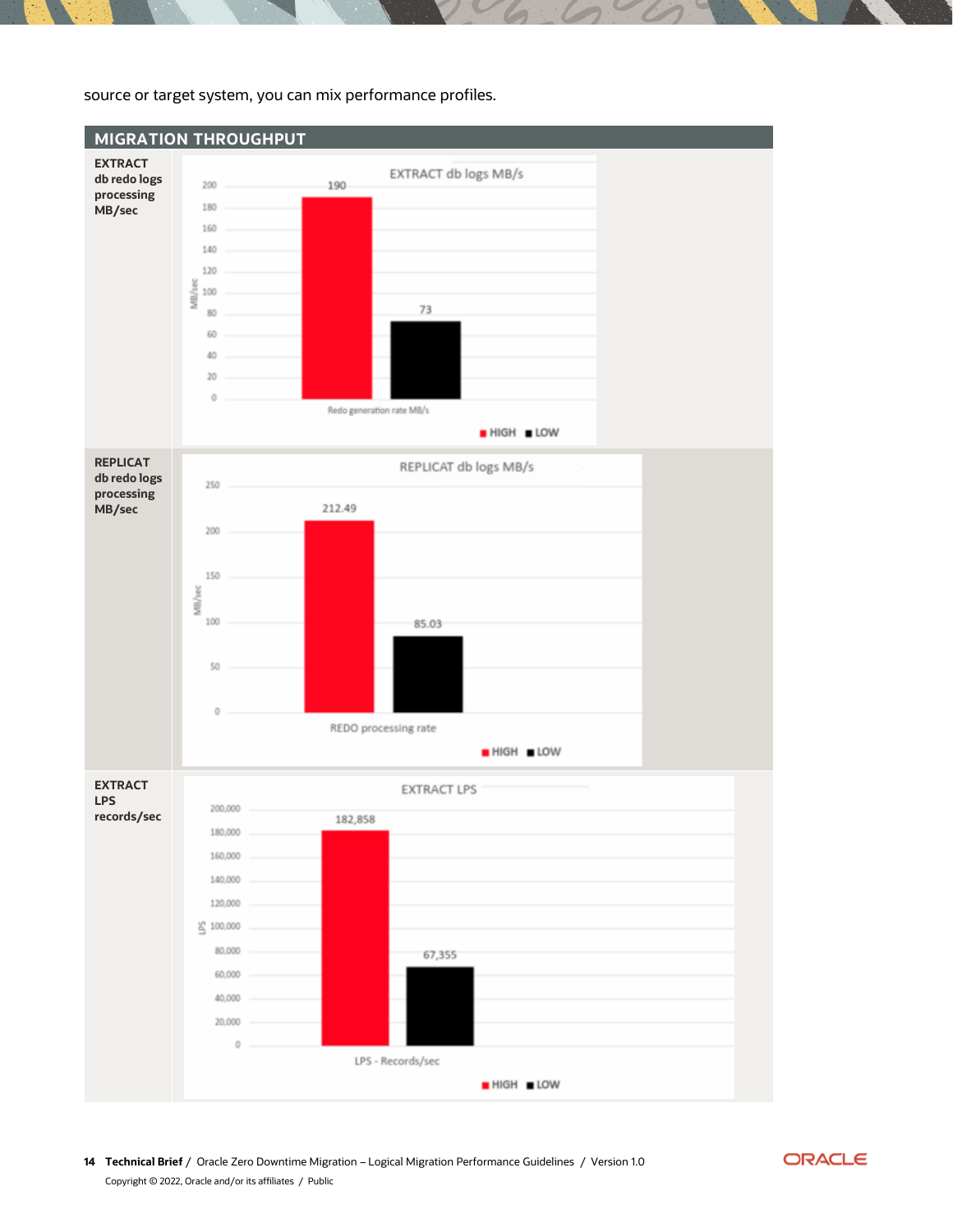

source or target system, you can mix performance profiles.

**14 Technical Brief** / Oracle Zero Downtime Migration – Logical Migration Performance Guidelines / Version 1.0 Copyright © 2022, Oracle and/or its affiliates / Public